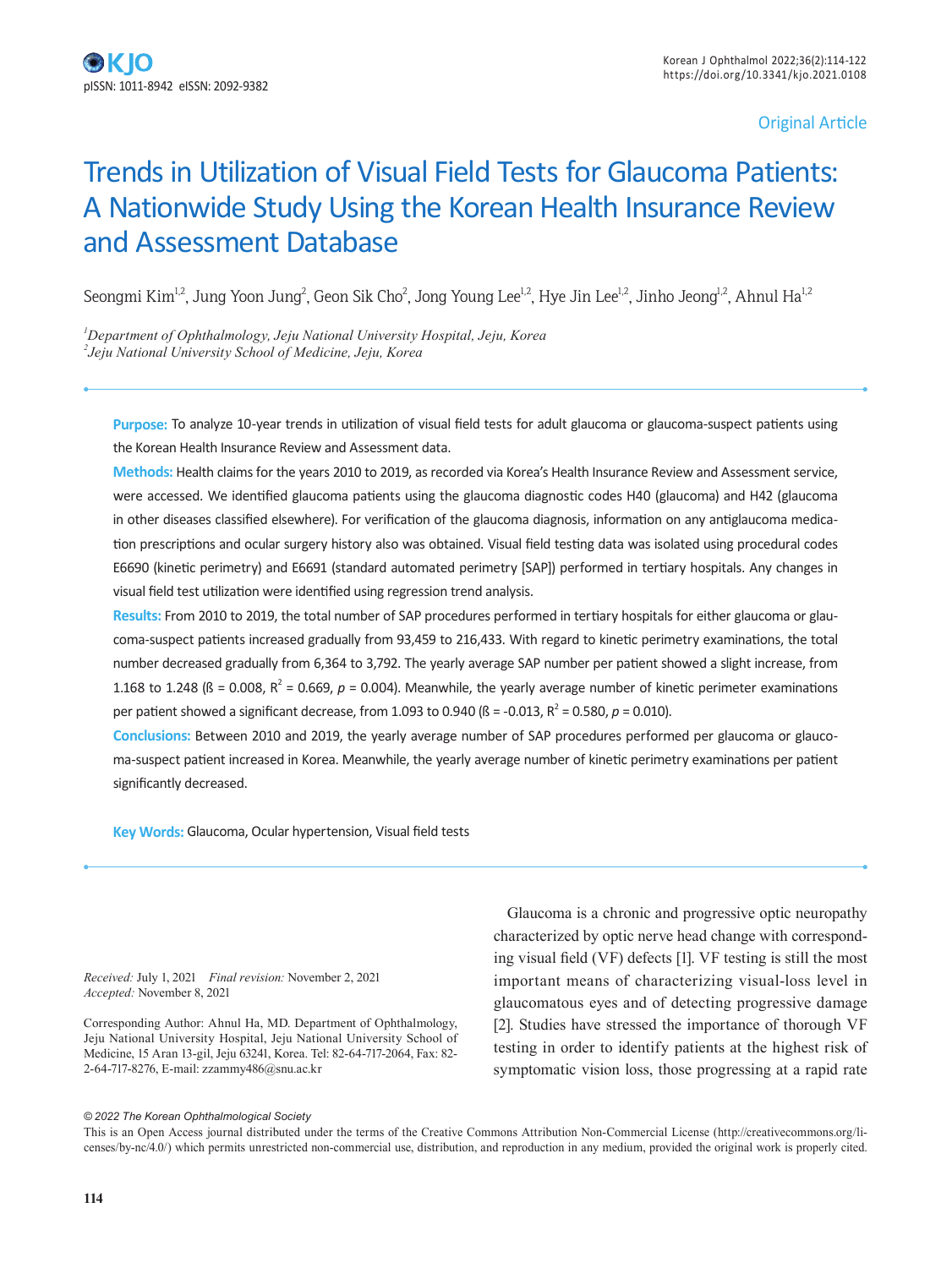## Original Article

# Trends in Utilization of Visual Field Tests for Glaucoma Patients: A Nationwide Study Using the Korean Health Insurance Review and Assessment Database

Seongmi Kim<sup>1,2</sup>, Jung Yoon Jung<sup>2</sup>, Geon Sik Cho<sup>2</sup>, Jong Young Lee<sup>1,2</sup>, Hye Jin Lee<sup>1,2</sup>, Jinho Jeong<sup>1,2</sup>, Ahnul Ha<sup>1,2</sup>

*1 Department of Ophthalmology, Jeju National University Hospital, Jeju, Korea 2 Jeju National University School of Medicine, Jeju, Korea*

**Purpose:** To analyze 10-year trends in utilization of visual field tests for adult glaucoma or glaucoma-suspect patients using the Korean Health Insurance Review and Assessment data.

**Methods:** Health claims for the years 2010 to 2019, as recorded via Korea's Health Insurance Review and Assessment service, were accessed. We identified glaucoma patients using the glaucoma diagnostic codes H40 (glaucoma) and H42 (glaucoma in other diseases classified elsewhere). For verification of the glaucoma diagnosis, information on any antiglaucoma medication prescriptions and ocular surgery history also was obtained. Visual field testing data was isolated using procedural codes E6690 (kinetic perimetry) and E6691 (standard automated perimetry [SAP]) performed in tertiary hospitals. Any changes in visual field test utilization were identified using regression trend analysis.

**Results:** From 2010 to 2019, the total number of SAP procedures performed in tertiary hospitals for either glaucoma or glaucoma-suspect patients increased gradually from 93,459 to 216,433. With regard to kinetic perimetry examinations, the total number decreased gradually from 6,364 to 3,792. The yearly average SAP number per patient showed a slight increase, from 1.168 to 1.248 ( $\beta$  = 0.008,  $R^2$  = 0.669,  $p$  = 0.004). Meanwhile, the yearly average number of kinetic perimeter examinations per patient showed a significant decrease, from 1.093 to 0.940 ( $\beta$  = -0.013,  $R^2$  = 0.580,  $p$  = 0.010).

**Conclusions:** Between 2010 and 2019, the yearly average number of SAP procedures performed per glaucoma or glaucoma-suspect patient increased in Korea. Meanwhile, the yearly average number of kinetic perimetry examinations per patient significantly decreased.

**Key Words:** Glaucoma, Ocular hypertension, Visual field tests

*Received:* July 1, 2021 *Final revision:* November 2, 2021 *Accepted:* November 8, 2021

Corresponding Author: Ahnul Ha, MD. Department of Ophthalmology, Jeju National University Hospital, Jeju National University School of Medicine, 15 Aran 13-gil, Jeju 63241, Korea. Tel: 82-64-717-2064, Fax: 82- 2-64-717-8276, E-mail: zzammy486@snu.ac.kr

Glaucoma is a chronic and progressive optic neuropathy characterized by optic nerve head change with corresponding visual field (VF) defects [1]. VF testing is still the most important means of characterizing visual-loss level in glaucomatous eyes and of detecting progressive damage [2]. Studies have stressed the importance of thorough VF testing in order to identify patients at the highest risk of symptomatic vision loss, those progressing at a rapid rate

#### *© 2022 The Korean Ophthalmological Society*

This is an Open Access journal distributed under the terms of the Creative Commons Attribution Non-Commercial License (http://creativecommons.org/licenses/by-nc/4.0/) which permits unrestricted non-commercial use, distribution, and reproduction in any medium, provided the original work is properly cited.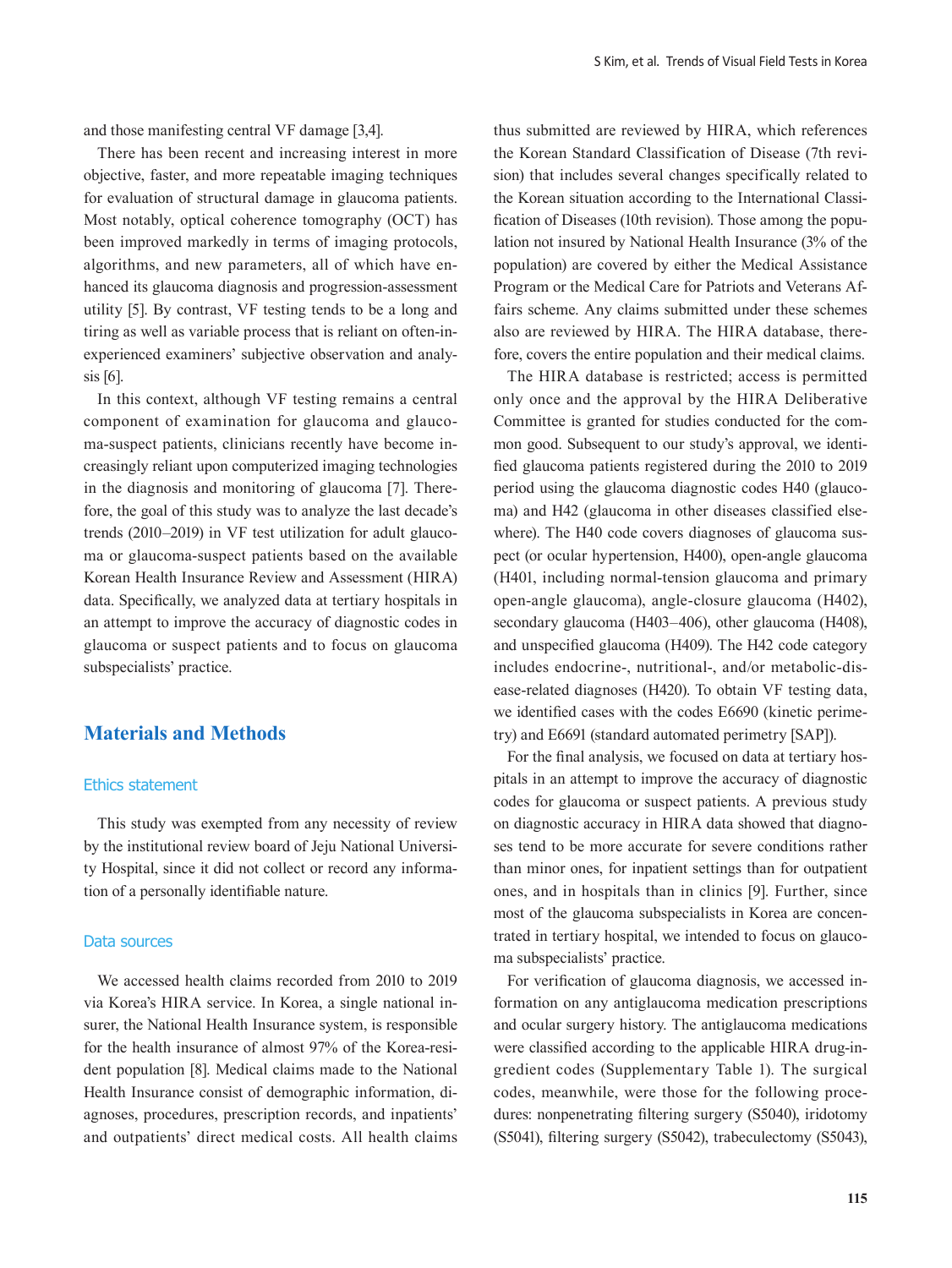and those manifesting central VF damage [3,4].

There has been recent and increasing interest in more objective, faster, and more repeatable imaging techniques for evaluation of structural damage in glaucoma patients. Most notably, optical coherence tomography (OCT) has been improved markedly in terms of imaging protocols, algorithms, and new parameters, all of which have enhanced its glaucoma diagnosis and progression-assessment utility [5]. By contrast, VF testing tends to be a long and tiring as well as variable process that is reliant on often-inexperienced examiners' subjective observation and analysis [6].

In this context, although VF testing remains a central component of examination for glaucoma and glaucoma-suspect patients, clinicians recently have become increasingly reliant upon computerized imaging technologies in the diagnosis and monitoring of glaucoma [7]. Therefore, the goal of this study was to analyze the last decade's trends (2010–2019) in VF test utilization for adult glaucoma or glaucoma-suspect patients based on the available Korean Health Insurance Review and Assessment (HIRA) data. Specifically, we analyzed data at tertiary hospitals in an attempt to improve the accuracy of diagnostic codes in glaucoma or suspect patients and to focus on glaucoma subspecialists' practice.

# **Materials and Methods**

### Ethics statement

This study was exempted from any necessity of review by the institutional review board of Jeju National University Hospital, since it did not collect or record any information of a personally identifiable nature.

#### Data sources

We accessed health claims recorded from 2010 to 2019 via Korea's HIRA service. In Korea, a single national insurer, the National Health Insurance system, is responsible for the health insurance of almost 97% of the Korea-resident population [8]. Medical claims made to the National Health Insurance consist of demographic information, diagnoses, procedures, prescription records, and inpatients' and outpatients' direct medical costs. All health claims thus submitted are reviewed by HIRA, which references the Korean Standard Classification of Disease (7th revision) that includes several changes specifically related to the Korean situation according to the International Classification of Diseases (10th revision). Those among the population not insured by National Health Insurance (3% of the population) are covered by either the Medical Assistance Program or the Medical Care for Patriots and Veterans Affairs scheme. Any claims submitted under these schemes also are reviewed by HIRA. The HIRA database, therefore, covers the entire population and their medical claims.

The HIRA database is restricted; access is permitted only once and the approval by the HIRA Deliberative Committee is granted for studies conducted for the common good. Subsequent to our study's approval, we identified glaucoma patients registered during the 2010 to 2019 period using the glaucoma diagnostic codes H40 (glaucoma) and H42 (glaucoma in other diseases classified elsewhere). The H40 code covers diagnoses of glaucoma suspect (or ocular hypertension, H400), open-angle glaucoma (H401, including normal-tension glaucoma and primary open-angle glaucoma), angle-closure glaucoma (H402), secondary glaucoma (H403–406), other glaucoma (H408), and unspecified glaucoma (H409). The H42 code category includes endocrine-, nutritional-, and/or metabolic-disease-related diagnoses (H420). To obtain VF testing data, we identified cases with the codes E6690 (kinetic perimetry) and E6691 (standard automated perimetry [SAP]).

For the final analysis, we focused on data at tertiary hospitals in an attempt to improve the accuracy of diagnostic codes for glaucoma or suspect patients. A previous study on diagnostic accuracy in HIRA data showed that diagnoses tend to be more accurate for severe conditions rather than minor ones, for inpatient settings than for outpatient ones, and in hospitals than in clinics [9]. Further, since most of the glaucoma subspecialists in Korea are concentrated in tertiary hospital, we intended to focus on glaucoma subspecialists' practice.

For verification of glaucoma diagnosis, we accessed information on any antiglaucoma medication prescriptions and ocular surgery history. The antiglaucoma medications were classified according to the applicable HIRA drug-ingredient codes (Supplementary Table 1). The surgical codes, meanwhile, were those for the following procedures: nonpenetrating filtering surgery (S5040), iridotomy (S5041), filtering surgery (S5042), trabeculectomy (S5043),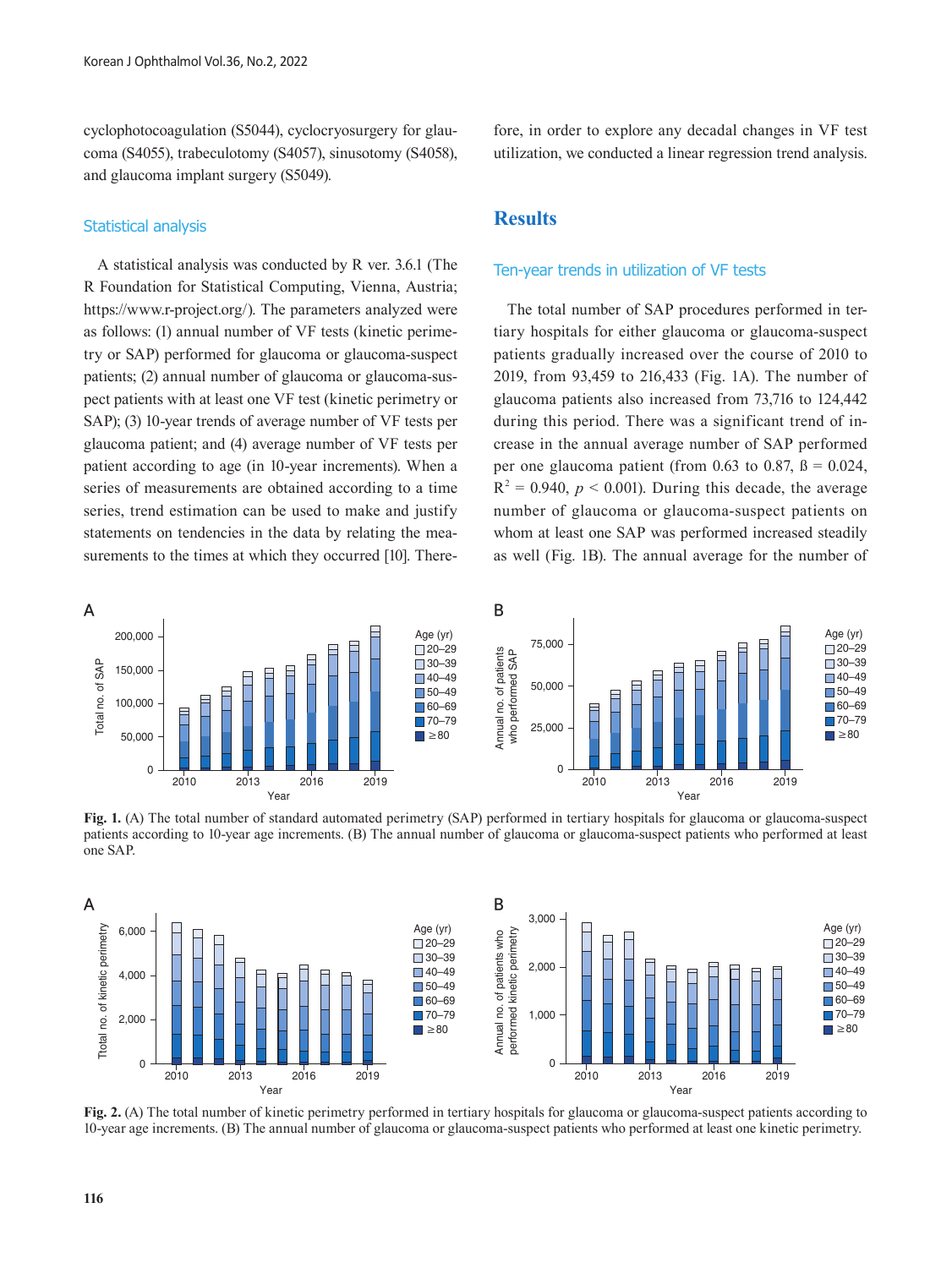cyclophotocoagulation (S5044), cyclocryosurgery for glaucoma (S4055), trabeculotomy (S4057), sinusotomy (S4058), and glaucoma implant surgery (S5049).

## Statistical analysis

A statistical analysis was conducted by R ver. 3.6.1 (The R Foundation for Statistical Computing, Vienna, Austria; https://www.r-project.org/). The parameters analyzed were as follows: (1) annual number of VF tests (kinetic perimetry or SAP) performed for glaucoma or glaucoma-suspect patients; (2) annual number of glaucoma or glaucoma-suspect patients with at least one VF test (kinetic perimetry or SAP); (3) 10-year trends of average number of VF tests per glaucoma patient; and (4) average number of VF tests per patient according to age (in 10-year increments). When a series of measurements are obtained according to a time series, trend estimation can be used to make and justify statements on tendencies in the data by relating the measurements to the times at which they occurred [10]. Therefore, in order to explore any decadal changes in VF test utilization, we conducted a linear regression trend analysis.

## **Results**

## Ten-year trends in utilization of VF tests

The total number of SAP procedures performed in tertiary hospitals for either glaucoma or glaucoma-suspect patients gradually increased over the course of 2010 to 2019, from 93,459 to 216,433 (Fig. 1A). The number of glaucoma patients also increased from 73,716 to 124,442 during this period. There was a significant trend of increase in the annual average number of SAP performed per one glaucoma patient (from 0.63 to 0.87,  $\beta = 0.024$ ,  $R^2 = 0.940$ ,  $p < 0.001$ ). During this decade, the average number of glaucoma or glaucoma-suspect patients on whom at least one SAP was performed increased steadily as well (Fig. 1B). The annual average for the number of  $\frac{2}{1}$ <br> $\frac{1}{5}$  $\frac{40}{4}$  $\overline{\mathfrak{g}}$  on Age (yr)



one SAP. patients according to 10-year age increments. (B) The annual number of glaucoma or glaucoma-suspect patients who performed at least Fig. 1. (A) The total number of standard automated perimetry (SAP) performed in tertiary hospitals for glaucoma or glaucoma-suspect  $\sum_{1}^{1}$ 



10-year age increments. (B) The annual number of glaucoma or glaucoma-suspect patients who performed at least one kinetic perimetry. **Fig. 2.** (A) The total number of kinetic perimetry performed in tertiary hospitals for glaucoma or glaucoma-suspect patients according to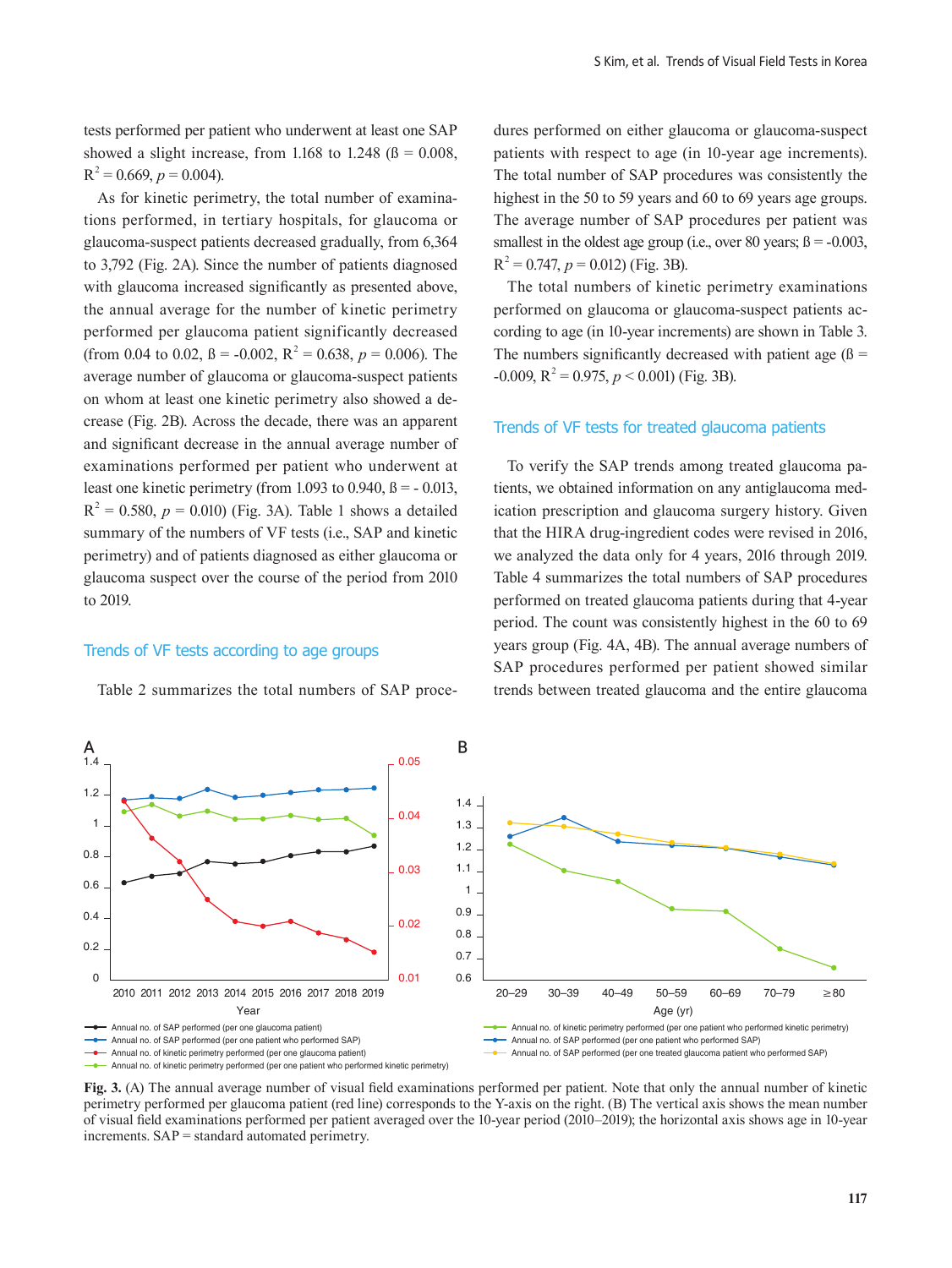tests performed per patient who underwent at least one SAP showed a slight increase, from 1.168 to 1.248 ( $\beta$  = 0.008,  $R^2 = 0.669$ ,  $p = 0.004$ ).

As for kinetic perimetry, the total number of examinations performed, in tertiary hospitals, for glaucoma or glaucoma-suspect patients decreased gradually, from 6,364 to 3,792 (Fig. 2A). Since the number of patients diagnosed with glaucoma increased significantly as presented above, the annual average for the number of kinetic perimetry performed per glaucoma patient significantly decreased (from 0.04 to 0.02,  $\beta$  = -0.002,  $R^2$  = 0.638,  $p$  = 0.006). The average number of glaucoma or glaucoma-suspect patients on whom at least one kinetic perimetry also showed a decrease (Fig. 2B). Across the decade, there was an apparent and significant decrease in the annual average number of examinations performed per patient who underwent at least one kinetic perimetry (from 1.093 to 0.940,  $\beta$  = -0.013,  $R^2 = 0.580$ ,  $p = 0.010$ ) (Fig. 3A). Table 1 shows a detailed summary of the numbers of VF tests (i.e., SAP and kinetic perimetry) and of patients diagnosed as either glaucoma or glaucoma suspect over the course of the period from 2010 to 2019.

#### Trends of VF tests according to age groups

Table 2 summarizes the total numbers of SAP proce-

dures performed on either glaucoma or glaucoma-suspect patients with respect to age (in 10-year age increments). The total number of SAP procedures was consistently the highest in the 50 to 59 years and 60 to 69 years age groups. The average number of SAP procedures per patient was smallest in the oldest age group (i.e., over 80 years;  $\beta$  = -0.003,  $R^2 = 0.747$ ,  $p = 0.012$ ) (Fig. 3B).

The total numbers of kinetic perimetry examinations performed on glaucoma or glaucoma-suspect patients according to age (in 10-year increments) are shown in Table 3. The numbers significantly decreased with patient age  $(β =$  $-0.009$ ,  $R^2 = 0.975$ ,  $p < 0.001$ ) (Fig. 3B).

## Trends of VF tests for treated glaucoma patients

To verify the SAP trends among treated glaucoma patients, we obtained information on any antiglaucoma medication prescription and glaucoma surgery history. Given that the HIRA drug-ingredient codes were revised in 2016, we analyzed the data only for 4 years, 2016 through 2019. Table 4 summarizes the total numbers of SAP procedures performed on treated glaucoma patients during that 4-year period. The count was consistently highest in the 60 to 69 years group (Fig. 4A, 4B). The annual average numbers of SAP procedures performed per patient showed similar trends between treated glaucoma and the entire glaucoma



**Fig. 3.** (A) The annual average number of visual field examinations performed per patient. Note that only the annual number of kinetic perimetry performed per glaucoma patient (red line) corresponds to the Y-axis on the right. (B) The vertical axis shows the mean number of visual field examinations performed per patient averaged over the 10-year period (2010–2019); the horizontal axis shows age in 10-year increments. SAP = standard automated perimetry.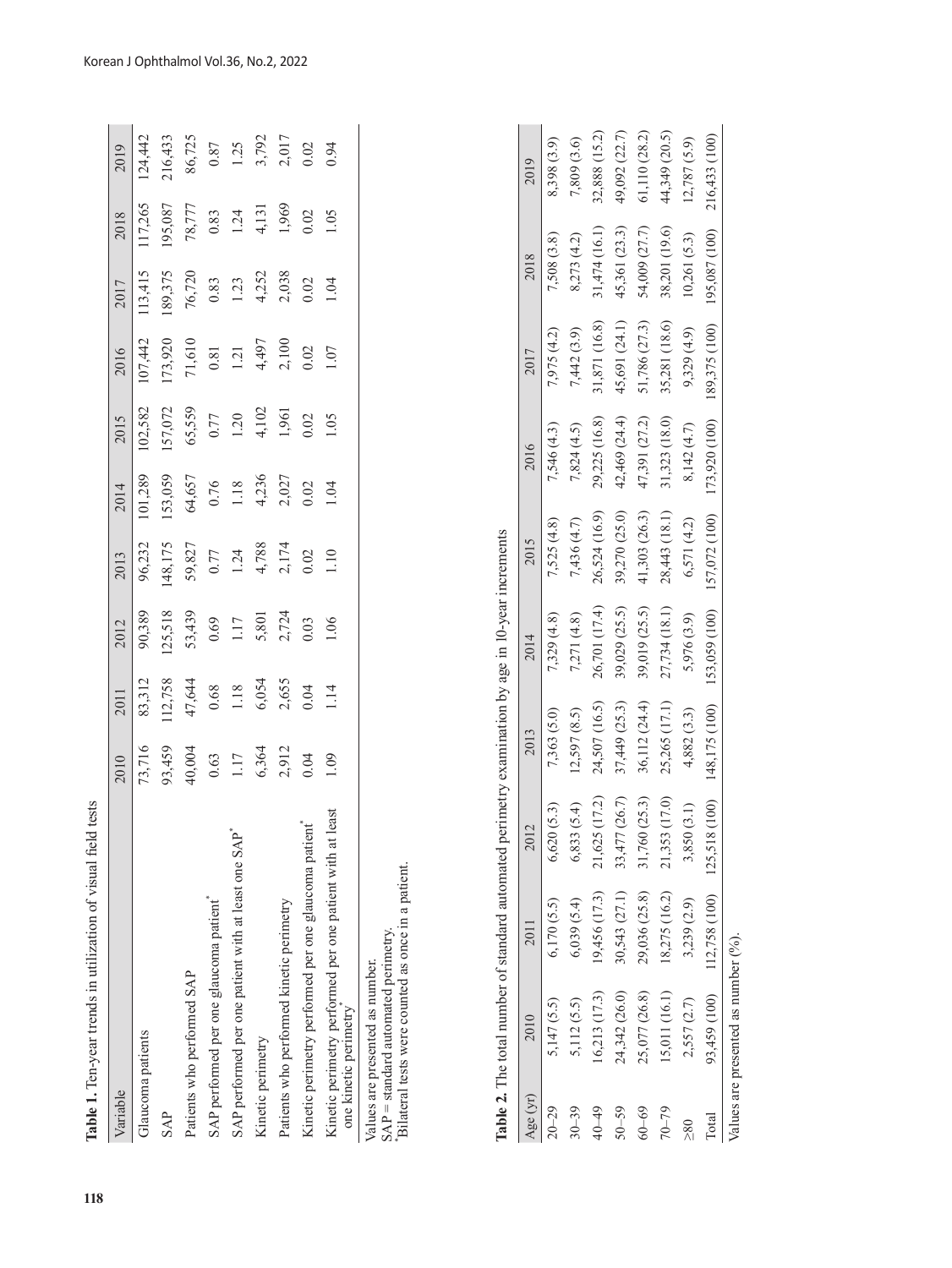| 153,059<br>101,289<br>96,232                                                       | 102,582                                                  |                                                  |                                                |                                                   |                                          |
|------------------------------------------------------------------------------------|----------------------------------------------------------|--------------------------------------------------|------------------------------------------------|---------------------------------------------------|------------------------------------------|
|                                                                                    |                                                          | 07,442                                           | 13,415                                         | 17,265                                            | 124,442                                  |
|                                                                                    |                                                          |                                                  | 189,375                                        | 195,087                                           |                                          |
|                                                                                    | 157,072<br>65,559                                        | 173,920<br>71,610                                | 76,720                                         | 78,777                                            |                                          |
|                                                                                    |                                                          |                                                  |                                                |                                                   |                                          |
|                                                                                    |                                                          |                                                  |                                                |                                                   |                                          |
|                                                                                    |                                                          |                                                  |                                                |                                                   |                                          |
|                                                                                    |                                                          |                                                  |                                                |                                                   |                                          |
|                                                                                    |                                                          |                                                  |                                                |                                                   |                                          |
|                                                                                    |                                                          |                                                  |                                                |                                                   |                                          |
| $48,175$<br>$59,827$<br>$0.77$<br>$1.24$<br>$4,788$<br>$2,174$<br>$0.02$<br>$1.10$ | 64,657<br>0.76<br>1.18<br>4,236<br>2,027<br>0.02<br>0.04 | $0.77$<br>1.20<br>4,102<br>1,961<br>1.05<br>1.05 | 0.81<br>1.21<br>4,497<br>2,100<br>0.02<br>0.02 | $0.83$<br>1.23<br>4,252<br>2.038<br>2.038<br>0.02 | $0.83$<br>1.24<br>4,131<br>1.969<br>1.05 |

**Table 2.** The total number of standard automated perimetry examination by age in 10-year increments  $\ddot{\phantom{a}}$  $\ddot{\phantom{0}}$  $\overline{a}$ ٠,  $\epsilon$  $\overline{\phantom{a}}$ Í,

|              | <b>lable 2.</b> The total number of standard automated perimetry examination by age in $10$ -year increments |                                          |               |               |               |               |               |               |               |               |
|--------------|--------------------------------------------------------------------------------------------------------------|------------------------------------------|---------------|---------------|---------------|---------------|---------------|---------------|---------------|---------------|
| Age (yr)     | 2010                                                                                                         |                                          | 2012          | 2013          | 2014          | 2015          | 2016          | 2017          | 2018          | 2019          |
| $20 - 29$    | 5,147(5.5)                                                                                                   | 6,170(5.5)                               | 6,620(5.3)    | 7,363 (5.0)   | 7,329(4.8)    | 7,525(4.8)    | 7,546 (4.3)   | 7,975 (4.2)   | 7,508 (3.8)   | 8,398 (3.9)   |
| $30 - 39$    | 5,112 (5.5)                                                                                                  | 6,039(5.4)                               | 6,833(5.4)    | 12,597(8.5)   | 7,271 (4.8)   | 7,436(4.7)    | 7,824 (4.5)   | 7,442 (3.9)   | 8,273 (4.2)   | 7,809 (3.6)   |
| $40 - 49$    | 16,213 (17.3)                                                                                                | 19,456 (17.3)                            | 21,625 (17.2) | 24,507 (16.5) | 26,701 (17.4) | 26,524 (16.9) | 29,225 (16.8) | 31,871 (16.8) | 31,474 (16.1) | 32,888 (15.2) |
| $50 - 59$    | 24,342 (26.0)                                                                                                | 30,543 (27.1)                            | 33,477 (26.7) | 37,449 (25.3) | 39,029 (25.5) | 39,270 (25.0) | 42,469 (24.4) | 45,691 (24.1) | 45,361 (23.3) | 49,092 (22.7) |
| $60 - 69$    | 25,077 (26.8)                                                                                                | 29,036 (25.8)                            | 31,760 (25.3) | 36,112 (24.4) | 39,019 (25.5) | 41,303 (26.3) | 47,391 (27.2) | 51,786 (27.3) | 54,009 (27.7) | 61,110 (28.2) |
| $70 - 79$    | 15,011 (16.1)                                                                                                | 18,275 (16.2)                            | 21,353 (17.0) | 25,265 (17.1) | 27,734 (18.1) | 28,443 (18.1) | 31,323 (18.0) | 35,281 (18.6) | 38,201 (19.6) | 44,349 (20.5) |
| $\geq 80$    | 2,557 (2.7)                                                                                                  | 3,239(2.9)                               | 3,850 (3.1)   | 4,882 (3.3)   | 5,976 (3.9)   | 6,571 (4.2)   | 8,142 (4.7)   | 9,329(4.9)    | 10,261(5.3)   | 12,787(5.9)   |
| <b>Total</b> |                                                                                                              | 93,459 (100) 112,758 (100) 125,518 (100) |               | 148,175 (100) | 153,059 (100) | 157,072 (100) | 173,920 (100) | 189,375 (100) | 195,087 (100) | 216,433 (100) |
|              | Values are presented as number $(9/6)$ .                                                                     |                                          |               |               |               |               |               |               |               |               |

Korean J Ophthalmol Vol.36, No.2, 2022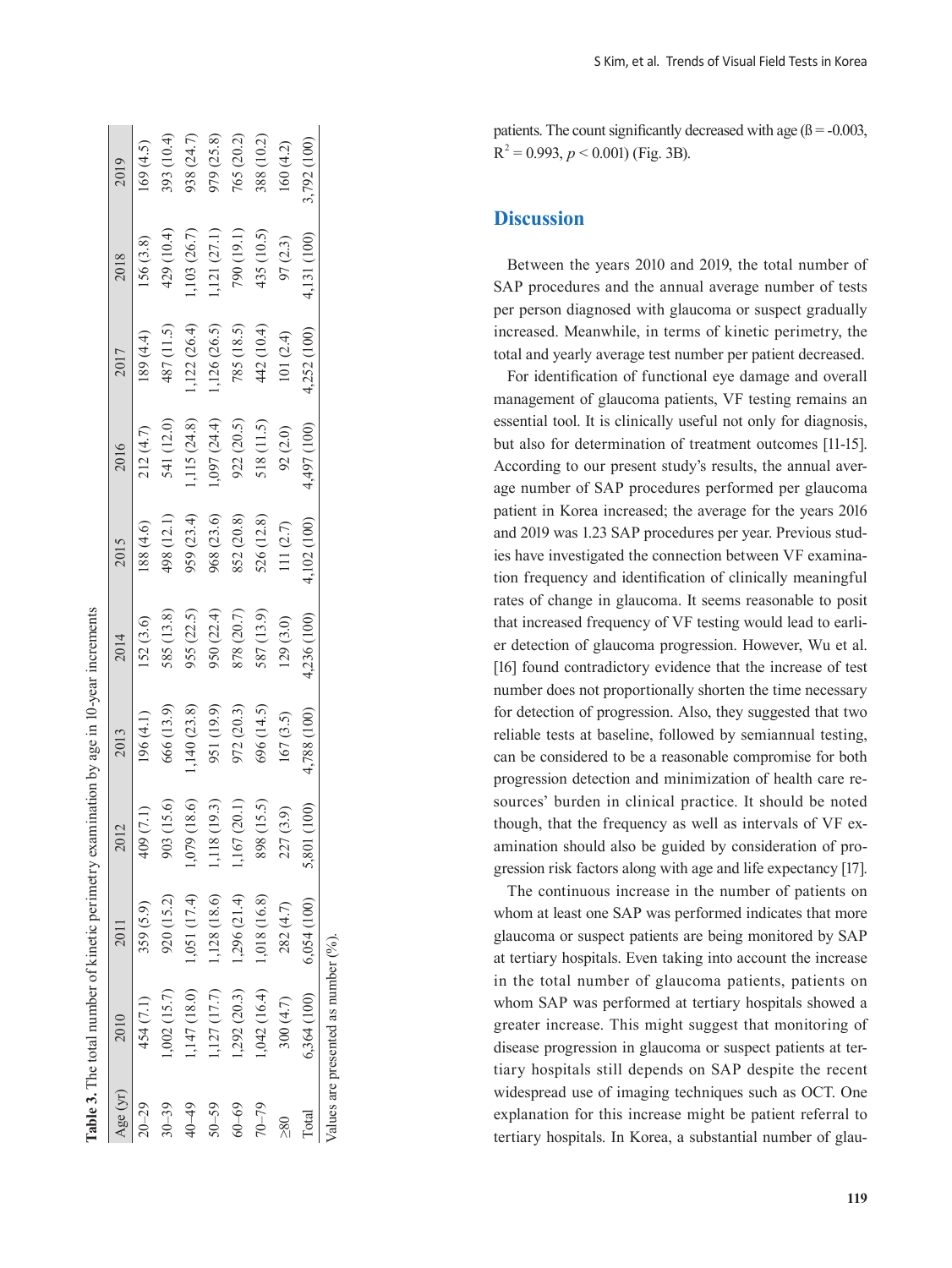|           | <b>Table 3.</b> The total number of kinetic perimetry examination by age in 10-year increments |              |                |             |             |             |                 |             |            |             |
|-----------|------------------------------------------------------------------------------------------------|--------------|----------------|-------------|-------------|-------------|-----------------|-------------|------------|-------------|
| Age (yr)  | 2010                                                                                           |              |                | 2013        | 2014        | 2015        | 2016            | 2017        | 2018       | 2019        |
| $20 - 29$ | 454 (7.1)                                                                                      | 359 (5.9)    | 409 (7.1)      | 196(4.1)    | 152(3.6)    | 88 (4.6)    | 212(4.7)        | 189(4.4)    | 156 (3.8)  | 169(4.5)    |
| $30 - 39$ | $1,002$ $(15.7)$                                                                               | 920 (15.2)   | 903 (15.6)     | 666 (13.9)  | 585 (13.8)  | 498 (12.1)  | 541 (12.0)      | 487 (11.5)  | 429 (10.4) | 393 (10.4)  |
| 40-49     | ,147(18.0)                                                                                     | 1,051 (17.4) | 1,079 (18.6)   | ,140(23.8)  | 955 (22.5)  | 959 (23.4)  | 115(24.8)       | ,122(26.4)  | ,103(26.7) | 938 (24.7)  |
| $50 - 59$ | ,127(17.7)                                                                                     | 1,128 (18.6) | 1,118 (19.3)   | 951 (19.9)  | 950 (22.4)  | 968 (23.6)  | $(0.67)$ (24.4) | 1,126(26.5) | ,121(27.1) | 979 (25.8)  |
| $60 - 69$ | 1,292 (20.3)                                                                                   | 1,296(21.4)  | 1,167 (20.1)   | 972 (20.3)  | 878 (20.7)  | 852 (20.8)  | 922(20.5)       | 785 (18.5)  | 790 (19.1) | 765 (20.2)  |
| $70 - 79$ | 1,042 (16.4)                                                                                   | 1,018 (16.8) | 898 (15.5)     | 696 (14.5)  | 587 (13.9)  | 526 (12.8)  | 518 (11.5)      | 442 (10.4)  | 435 (10.5) | 388 (10.2)  |
| $\geq 80$ | 300(4.7)                                                                                       | 282 (4.7)    | 227 (3.9)      | 167 (3.5)   | 129(3.0)    | 111(2.7)    | 92(2.0)         | 101(2.4)    | 97 (2.3)   | 160(4.2)    |
| Total     | 6,364 (100)                                                                                    | 6,054 (100)  | (100)<br>5,801 | 4,788 (100) | 4,236 (100) | 4,102 (100) | (100) 167       | 4,252(100)  | , 131(100) | 3,792 (100) |
|           | Values are presented as number $(^9\%)$ .                                                      |              |                |             |             |             |                 |             |            |             |

patients. The count significantly decreased with age  $(β = -0.003$ .  $p < 0.001$  (Fig. 3B).

## **Discussion**

Between the years 2010 and 2019, the total number of SAP procedures and the annual average number of tests per person diagnosed with glaucoma or suspect gradually increased. Meanwhile, in terms of kinetic perimetry, the total and yearly average test number per patient decreased.

For identification of functional eye damage and overall management of glaucoma patients, VF testing remains an essential tool. It is clinically useful not only for diagnosis, but also for determination of treatment outcomes [11-15]. According to our present study's results, the annual average number of SAP procedures performed per glaucoma patient in Korea increased; the average for the years 2016 and 2019 was 1.23 SAP procedures per year. Previous stud ies have investigated the connection between VF examina tion frequency and identification of clinically meaningful rates of change in glaucoma. It seems reasonable to posit that increased frequency of VF testing would lead to earli er detection of glaucoma progression. However, Wu et al. [16] found contradictory evidence that the increase of test number does not proportionally shorten the time necessary for detection of progression. Also, they suggested that two reliable tests at baseline, followed by semiannual testing, can be considered to be a reasonable compromise for both progression detection and minimization of health care re sources' burden in clinical practice. It should be noted though, that the frequency as well as intervals of VF ex amination should also be guided by consideration of pro gression risk factors along with age and life expectancy [17].

The continuous increase in the number of patients on whom at least one SAP was performed indicates that more glaucoma or suspect patients are being monitored by SAP at tertiary hospitals. Even taking into account the increase in the total number of glaucoma patients, patients on whom SAP was performed at tertiary hospitals showed a greater increase. This might suggest that monitoring of disease progression in glaucoma or suspect patients at tertiary hospitals still depends on SAP despite the recent widespread use of imaging techniques such as OCT. One explanation for this increase might be patient referral to tertiary hospitals. In Korea, a substantial number of glau -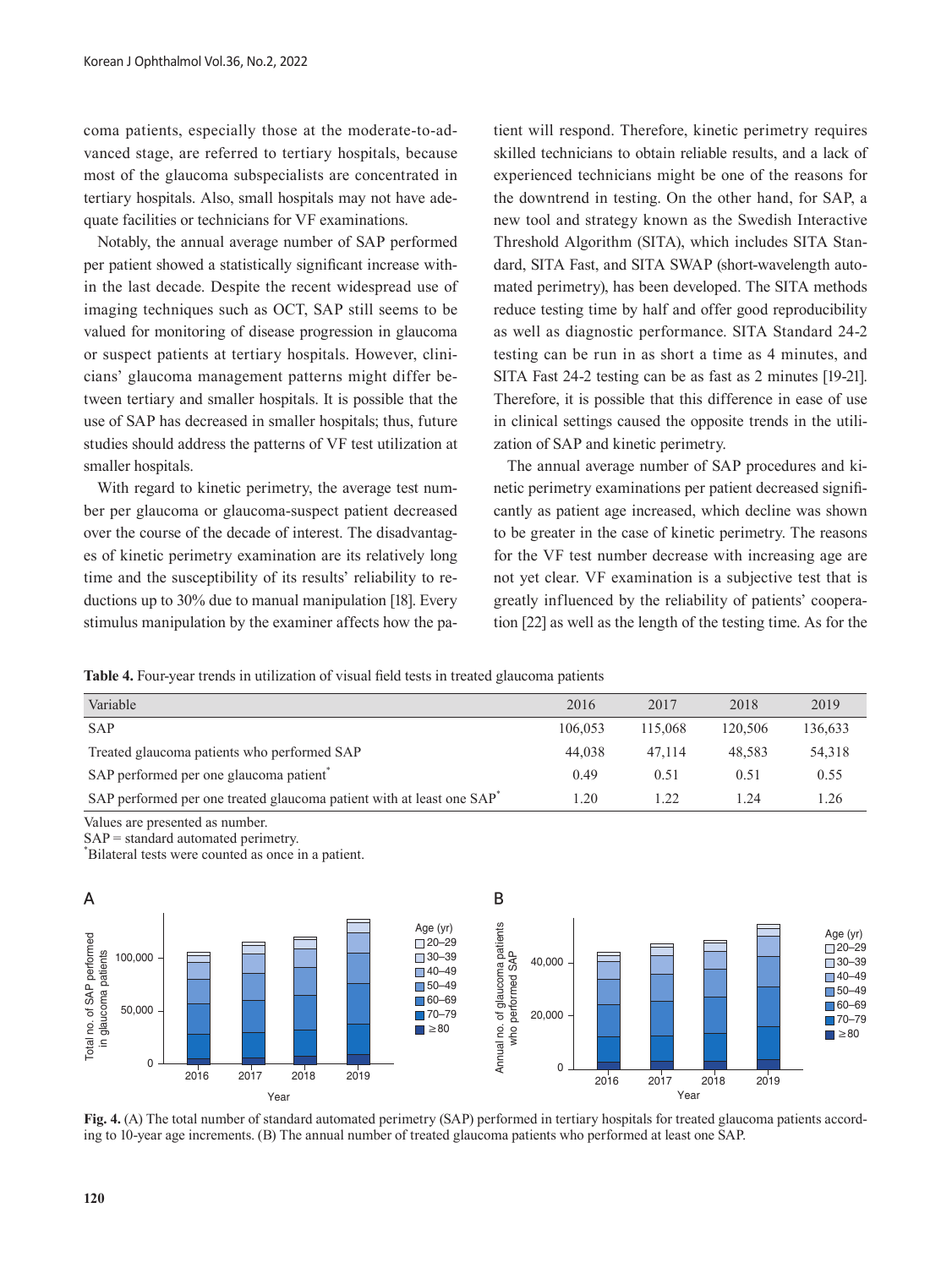coma patients, especially those at the moderate-to-advanced stage, are referred to tertiary hospitals, because most of the glaucoma subspecialists are concentrated in tertiary hospitals. Also, small hospitals may not have adequate facilities or technicians for VF examinations.

Notably, the annual average number of SAP performed per patient showed a statistically significant increase within the last decade. Despite the recent widespread use of imaging techniques such as OCT, SAP still seems to be valued for monitoring of disease progression in glaucoma or suspect patients at tertiary hospitals. However, clinicians' glaucoma management patterns might differ between tertiary and smaller hospitals. It is possible that the use of SAP has decreased in smaller hospitals; thus, future studies should address the patterns of VF test utilization at smaller hospitals.

With regard to kinetic perimetry, the average test number per glaucoma or glaucoma-suspect patient decreased over the course of the decade of interest. The disadvantages of kinetic perimetry examination are its relatively long time and the susceptibility of its results' reliability to reductions up to 30% due to manual manipulation [18]. Every stimulus manipulation by the examiner affects how the patient will respond. Therefore, kinetic perimetry requires skilled technicians to obtain reliable results, and a lack of experienced technicians might be one of the reasons for the downtrend in testing. On the other hand, for SAP, a new tool and strategy known as the Swedish Interactive Threshold Algorithm (SITA), which includes SITA Standard, SITA Fast, and SITA SWAP (short-wavelength automated perimetry), has been developed. The SITA methods reduce testing time by half and offer good reproducibility as well as diagnostic performance. SITA Standard 24-2 testing can be run in as short a time as 4 minutes, and SITA Fast 24-2 testing can be as fast as 2 minutes [19-21]. Therefore, it is possible that this difference in ease of use in clinical settings caused the opposite trends in the utilization of SAP and kinetic perimetry.

The annual average number of SAP procedures and kinetic perimetry examinations per patient decreased significantly as patient age increased, which decline was shown to be greater in the case of kinetic perimetry. The reasons for the VF test number decrease with increasing age are not yet clear. VF examination is a subjective test that is greatly influenced by the reliability of patients' cooperation [22] as well as the length of the testing time. As for the

**Table 4.** Four-year trends in utilization of visual field tests in treated glaucoma patients

| Variable                                                                                                                       | 2016    | 2017    | 2018    | 2019    |
|--------------------------------------------------------------------------------------------------------------------------------|---------|---------|---------|---------|
| <b>SAP</b>                                                                                                                     | 106.053 | 115,068 | 120,506 | 136,633 |
| Treated glaucoma patients who performed SAP                                                                                    | 44,038  | 47,114  | 48.583  | 54,318  |
| SAP performed per one glaucoma patient <sup>*</sup>                                                                            | 0.49    | 0.51    | 0.51    | 0.55    |
| SAP performed per one treated glaucoma patient with at least one SAP                                                           | 1.20    | 1.22    | 1.24    | 1.26    |
| Values are presented as number.<br>$SAP =$ standard automated perimetry.<br>Bilateral tests were counted as once in a patient. |         |         |         |         |



rı<br>in<br>12 20–29 ing to 10-year age increments. (B) The annual number of treated glaucoma patients who performed at least one SAP. **Fig. 4.** (A) The total number of standard automated perimetry (SAP) performed in tertiary hospitals for treated glaucoma patients accord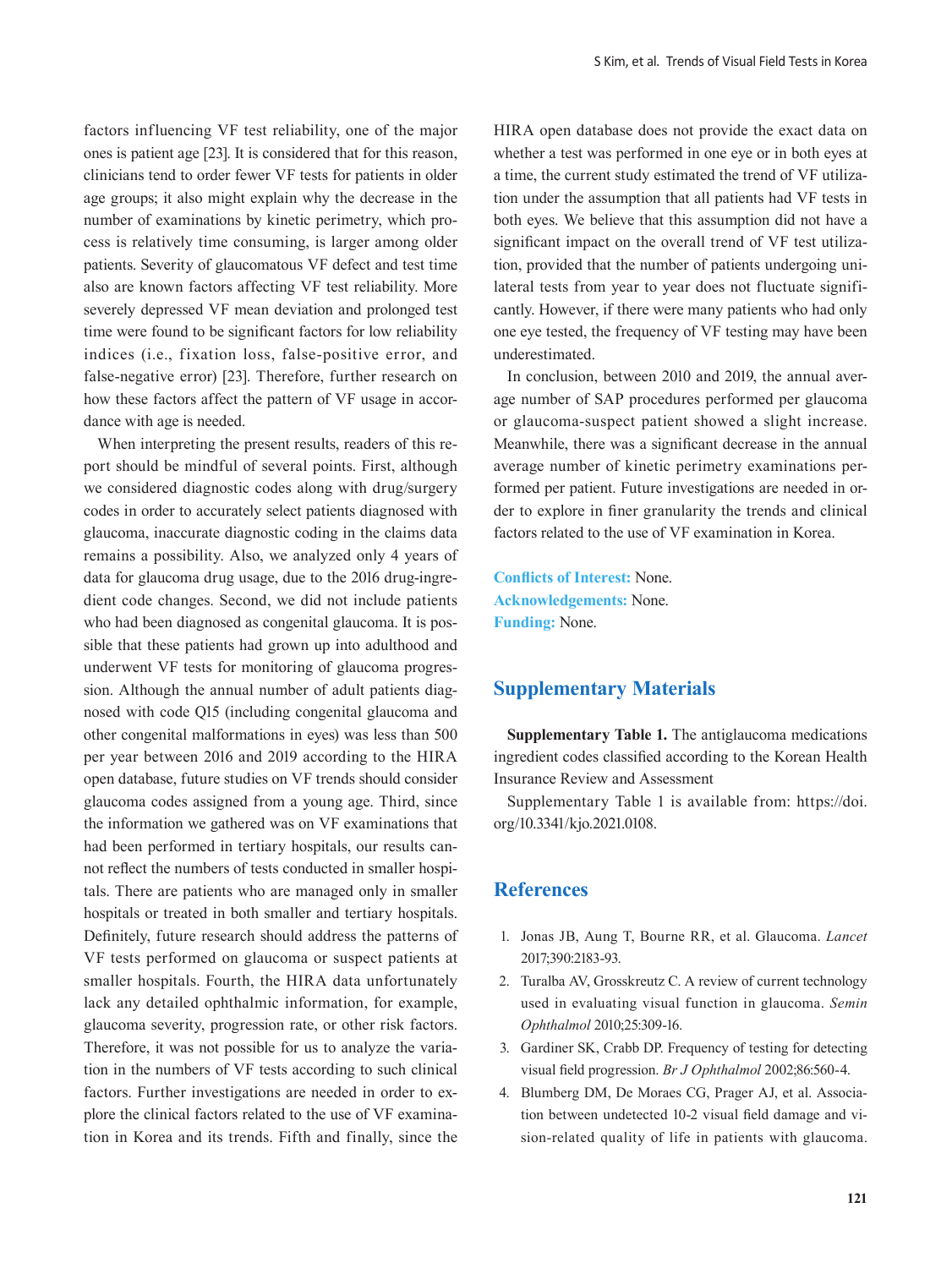factors influencing VF test reliability, one of the major ones is patient age [23]. It is considered that for this reason, clinicians tend to order fewer VF tests for patients in older age groups; it also might explain why the decrease in the number of examinations by kinetic perimetry, which process is relatively time consuming, is larger among older patients. Severity of glaucomatous VF defect and test time also are known factors affecting VF test reliability. More severely depressed VF mean deviation and prolonged test time were found to be significant factors for low reliability indices (i.e., fixation loss, false-positive error, and false-negative error) [23]. Therefore, further research on how these factors affect the pattern of VF usage in accordance with age is needed.

When interpreting the present results, readers of this report should be mindful of several points. First, although we considered diagnostic codes along with drug/surgery codes in order to accurately select patients diagnosed with glaucoma, inaccurate diagnostic coding in the claims data remains a possibility. Also, we analyzed only 4 years of data for glaucoma drug usage, due to the 2016 drug-ingredient code changes. Second, we did not include patients who had been diagnosed as congenital glaucoma. It is possible that these patients had grown up into adulthood and underwent VF tests for monitoring of glaucoma progression. Although the annual number of adult patients diagnosed with code Q15 (including congenital glaucoma and other congenital malformations in eyes) was less than 500 per year between 2016 and 2019 according to the HIRA open database, future studies on VF trends should consider glaucoma codes assigned from a young age. Third, since the information we gathered was on VF examinations that had been performed in tertiary hospitals, our results cannot reflect the numbers of tests conducted in smaller hospitals. There are patients who are managed only in smaller hospitals or treated in both smaller and tertiary hospitals. Definitely, future research should address the patterns of VF tests performed on glaucoma or suspect patients at smaller hospitals. Fourth, the HIRA data unfortunately lack any detailed ophthalmic information, for example, glaucoma severity, progression rate, or other risk factors. Therefore, it was not possible for us to analyze the variation in the numbers of VF tests according to such clinical factors. Further investigations are needed in order to explore the clinical factors related to the use of VF examination in Korea and its trends. Fifth and finally, since the HIRA open database does not provide the exact data on whether a test was performed in one eye or in both eyes at a time, the current study estimated the trend of VF utilization under the assumption that all patients had VF tests in both eyes. We believe that this assumption did not have a significant impact on the overall trend of VF test utilization, provided that the number of patients undergoing unilateral tests from year to year does not fluctuate significantly. However, if there were many patients who had only one eye tested, the frequency of VF testing may have been underestimated.

In conclusion, between 2010 and 2019, the annual average number of SAP procedures performed per glaucoma or glaucoma-suspect patient showed a slight increase. Meanwhile, there was a significant decrease in the annual average number of kinetic perimetry examinations performed per patient. Future investigations are needed in order to explore in finer granularity the trends and clinical factors related to the use of VF examination in Korea.

**Conflicts of Interest:** None. **Acknowledgements:** None. **Funding:** None.

## **Supplementary Materials**

**Supplementary Table 1.** The antiglaucoma medications ingredient codes classified according to the Korean Health Insurance Review and Assessment

Supplementary Table 1 is available from: https://doi. org/10.3341/kjo.2021.0108.

## **References**

- 1. Jonas JB, Aung T, Bourne RR, et al. Glaucoma. *Lancet* 2017;390:2183-93.
- 2. Turalba AV, Grosskreutz C. A review of current technology used in evaluating visual function in glaucoma. *Semin Ophthalmol* 2010;25:309-16.
- 3. Gardiner SK, Crabb DP. Frequency of testing for detecting visual field progression. *Br J Ophthalmol* 2002;86:560-4.
- 4. Blumberg DM, De Moraes CG, Prager AJ, et al. Association between undetected 10-2 visual field damage and vision-related quality of life in patients with glaucoma.